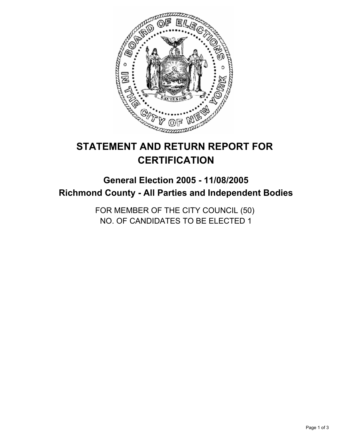

# **STATEMENT AND RETURN REPORT FOR CERTIFICATION**

## **General Election 2005 - 11/08/2005 Richmond County - All Parties and Independent Bodies**

FOR MEMBER OF THE CITY COUNCIL (50) NO. OF CANDIDATES TO BE ELECTED 1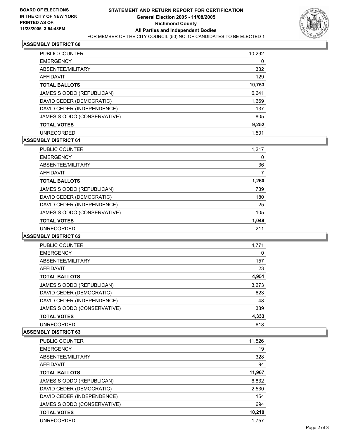

## **ASSEMBLY DISTRICT 60**

| PUBLIC COUNTER              | 10,292 |
|-----------------------------|--------|
| <b>EMERGENCY</b>            | 0      |
| ABSENTEE/MILITARY           | 332    |
| AFFIDAVIT                   | 129    |
| <b>TOTAL BALLOTS</b>        | 10,753 |
| JAMES S ODDO (REPUBLICAN)   | 6,641  |
| DAVID CEDER (DEMOCRATIC)    | 1,669  |
| DAVID CEDER (INDEPENDENCE)  | 137    |
| JAMES S ODDO (CONSERVATIVE) | 805    |
| <b>TOTAL VOTES</b>          | 9,252  |
| <b>UNRECORDED</b>           | 1.501  |

## **ASSEMBLY DISTRICT 61**

| PUBLIC COUNTER              | 1,217 |
|-----------------------------|-------|
| <b>EMERGENCY</b>            | 0     |
| ABSENTEE/MILITARY           | 36    |
| AFFIDAVIT                   |       |
| <b>TOTAL BALLOTS</b>        | 1,260 |
| JAMES S ODDO (REPUBLICAN)   | 739   |
| DAVID CEDER (DEMOCRATIC)    | 180   |
| DAVID CEDER (INDEPENDENCE)  | 25    |
| JAMES S ODDO (CONSERVATIVE) | 105   |
| <b>TOTAL VOTES</b>          | 1,049 |
| <b>UNRECORDED</b>           | 211   |

#### **ASSEMBLY DISTRICT 62**

| PUBLIC COUNTER              | 4,771 |
|-----------------------------|-------|
| <b>EMERGENCY</b>            | 0     |
| ABSENTEE/MILITARY           | 157   |
| AFFIDAVIT                   | 23    |
| <b>TOTAL BALLOTS</b>        | 4,951 |
| JAMES S ODDO (REPUBLICAN)   | 3,273 |
| DAVID CEDER (DEMOCRATIC)    | 623   |
| DAVID CEDER (INDEPENDENCE)  | 48    |
| JAMES S ODDO (CONSERVATIVE) | 389   |
| <b>TOTAL VOTES</b>          | 4,333 |
| <b>UNRECORDED</b>           | 618   |

#### **ASSEMBLY DISTRICT 63**

| <b>PUBLIC COUNTER</b>       | 11,526 |
|-----------------------------|--------|
| <b>EMERGENCY</b>            | 19     |
| ABSENTEE/MILITARY           | 328    |
| AFFIDAVIT                   | 94     |
| <b>TOTAL BALLOTS</b>        | 11,967 |
| JAMES S ODDO (REPUBLICAN)   | 6,832  |
| DAVID CEDER (DEMOCRATIC)    | 2,530  |
| DAVID CEDER (INDEPENDENCE)  | 154    |
| JAMES S ODDO (CONSERVATIVE) | 694    |
| <b>TOTAL VOTES</b>          | 10,210 |
| <b>UNRECORDED</b>           | 1,757  |